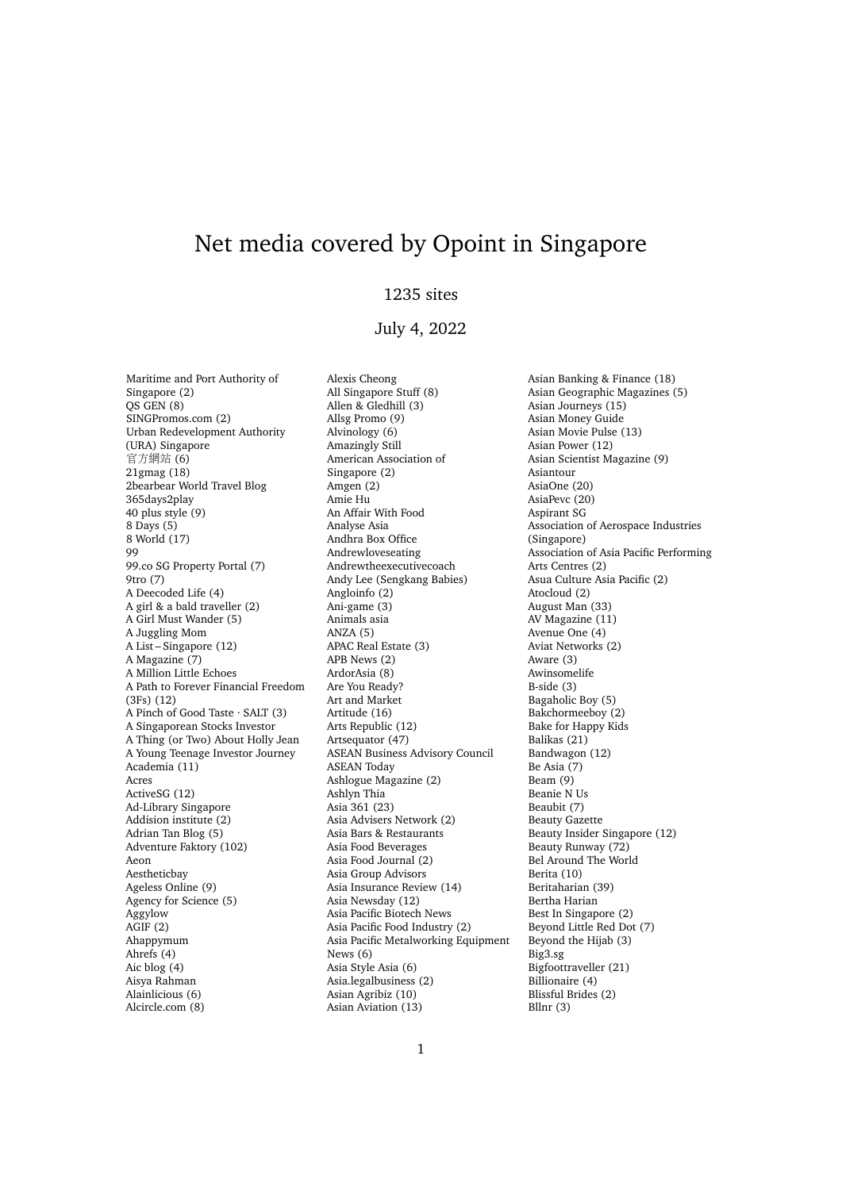# Net media covered by Opoint in Singapore

## 1235 sites

## July 4, 2022

Maritime and Port Authority of Singapore (2)  $OS$  GEN  $(8)$ SINGPromos.com (2) Urban Redevelopment Authority (URA) Singapore 官方網站 (6) 21gmag (18) 2bearbear World Travel Blog 365days2play 40 plus style (9) 8 Days (5) 8 World (17) 99 99.co SG Property Portal (7) 9tro (7) A Deecoded Life (4) A girl & a bald traveller (2) A Girl Must Wander (5) A Juggling Mom A List – Singapore (12) A Magazine (7) A Million Little Echoes A Path to Forever Financial Freedom (3Fs) (12) A Pinch of Good Taste · SALT (3) A Singaporean Stocks Investor A Thing (or Two) About Holly Jean A Young Teenage Investor Journey Academia (11) Acres ActiveSG (12) Ad-Library Singapore Addision institute (2) Adrian Tan Blog (5) Adventure Faktory (102) Aeon Aestheticbay Ageless Online (9) Agency for Science (5) Aggylow AGIF (2) Ahappymum Ahrefs (4) Aic blog (4) Aisya Rahman Alainlicious (6) Alcircle.com (8)

Alexis Cheong All Singapore Stuff (8) Allen & Gledhill (3) Allsg Promo (9) Alvinology (6) Amazingly Still American Association of Singapore (2) Amgen (2) Amie Hu An Affair With Food Analyse Asia Andhra Box Office Andrewloveseating Andrewtheexecutivecoach Andy Lee (Sengkang Babies) Angloinfo (2) Ani-game (3) Animals asia ANZA (5) APAC Real Estate (3) APB News (2) ArdorAsia (8) Are You Ready? Art and Market Artitude (16) Arts Republic (12) Artsequator (47) ASEAN Business Advisory Council ASEAN Today Ashlogue Magazine (2) Ashlyn Thia Asia 361 (23) Asia Advisers Network (2) Asia Bars & Restaurants Asia Food Beverages Asia Food Journal (2) Asia Group Advisors Asia Insurance Review (14) Asia Newsday (12) Asia Pacific Biotech News Asia Pacific Food Industry (2) Asia Pacific Metalworking Equipment News (6) Asia Style Asia (6) Asia.legalbusiness (2) Asian Agribiz (10) Asian Aviation (13)

Asian Banking & Finance (18) Asian Geographic Magazines (5) Asian Journeys (15) Asian Money Guide Asian Movie Pulse (13) Asian Power (12) Asian Scientist Magazine (9) Asiantour AsiaOne (20) AsiaPevc (20) Aspirant SG Association of Aerospace Industries (Singapore) Association of Asia Pacific Performing Arts Centres (2) Asua Culture Asia Pacific (2) Atocloud (2) August Man (33) AV Magazine (11) Avenue One (4) Aviat Networks (2) Aware (3) Awinsomelife B-side (3) Bagaholic Boy (5) Bakchormeeboy (2) Bake for Happy Kids Balikas (21) Bandwagon (12) Be Asia (7) Beam (9) Beanie N Us Beaubit (7) Beauty Gazette Beauty Insider Singapore (12) Beauty Runway (72) Bel Around The World Berita (10) Beritaharian (39) Bertha Harian Best In Singapore (2) Beyond Little Red Dot (7) Beyond the Hijab (3) Big3.sg Bigfoottraveller (21) Billionaire (4) Blissful Brides (2) Bllnr (3)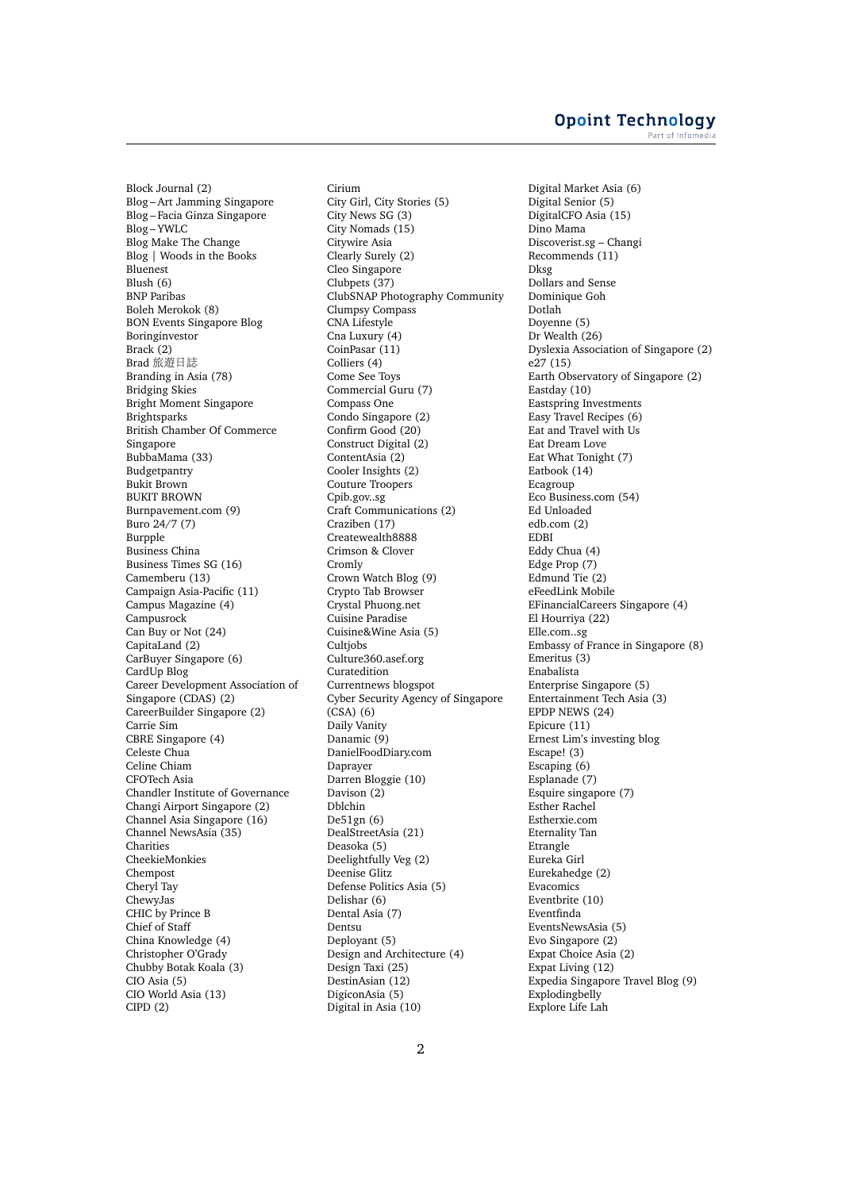### **Opoint Technology** Part of Infomer

Block Journal (2) Blog – Art Jamming Singapore Blog – Facia Ginza Singapore Blog – YWLC Blog Make The Change Blog | Woods in the Books Bluenest Blush (6) BNP Paribas Boleh Merokok (8) BON Events Singapore Blog Boringinvestor Brack<sup>(2)</sup> Brad 旅遊日誌 Branding in Asia (78) Bridging Skies Bright Moment Singapore Brightsparks British Chamber Of Commerce Singapore BubbaMama (33) Budgetpantry Bukit Brown BUKIT BROWN Burnpavement.com (9) Buro 24/7 (7) Burpple Business China Business Times SG (16) Camemberu (13) Campaign Asia-Pacific (11) Campus Magazine (4) Campusrock Can Buy or Not (24) CapitaLand (2) CarBuyer Singapore (6) CardUp Blog Career Development Association of Singapore (CDAS) (2) CareerBuilder Singapore (2) Carrie Sim CBRE Singapore (4) Celeste Chua Celine Chiam CFOTech Asia Chandler Institute of Governance Changi Airport Singapore (2) Channel Asia Singapore (16) Channel NewsAsia (35) **Charities** CheekieMonkies Chempost Cheryl Tay ChewyJas CHIC by Prince B Chief of Staff China Knowledge (4) Christopher O'Grady Chubby Botak Koala (3) CIO Asia (5) CIO World Asia (13) CIPD (2)

Cirium City Girl, City Stories (5) City News SG (3) City Nomads (15) Citywire Asia Clearly Surely (2) Cleo Singapore Clubpets (37) ClubSNAP Photography Community Clumpsy Compass CNA Lifestyle Cna Luxury (4) CoinPasar (11) Colliers (4) Come See Toys Commercial Guru (7) Compass One Condo Singapore (2) Confirm Good (20) Construct Digital (2) ContentAsia (2) Cooler Insights (2) Couture Troopers Cpib.gov..sg Craft Communications (2) Craziben (17) Createwealth8888 Crimson & Clover Cromly Crown Watch Blog (9) Crypto Tab Browser Crystal Phuong.net Cuisine Paradise Cuisine&Wine Asia (5) Cultjobs Culture360.asef.org Curatedition Currentnews blogspot Cyber Security Agency of Singapore (CSA) (6) Daily Vanity Danamic (9) DanielFoodDiary.com Daprayer Darren Bloggie (10) Davison (2) Dblchin De51gn (6) DealStreetAsia (21) Deasoka (5) Deelightfully Veg (2) Deenise Glitz Defense Politics Asia (5) Delishar (6) Dental Asia (7) Dentsu Deployant (5) Design and Architecture (4) Design Taxi (25) DestinAsian (12) DigiconAsia (5) Digital in Asia (10)

Digital Market Asia (6) Digital Senior (5) DigitalCFO Asia (15) Dino Mama Discoverist.sg – Changi Recommends (11) Dksg Dollars and Sense Dominique Goh Dotlah Doyenne (5) Dr Wealth (26) Dyslexia Association of Singapore (2) e27 (15) Earth Observatory of Singapore (2) Eastday (10) Eastspring Investments Easy Travel Recipes (6) Eat and Travel with Us Eat Dream Love Eat What Tonight (7) Eatbook (14) Ecagroup Eco Business.com (54) Ed Unloaded edb.com (2) EDBI Eddy Chua (4) Edge Prop (7) Edmund Tie (2) eFeedLink Mobile EFinancialCareers Singapore (4) El Hourriya (22) Elle.com..sg Embassy of France in Singapore (8) Emeritus (3) Enabalista Enterprise Singapore (5) Entertainment Tech Asia (3) EPDP NEWS (24) Epicure (11) Ernest Lim's investing blog Escape! (3) Escaping  $(6)$ Esplanade (7) Esquire singapore (7) Esther Rachel Estherxie.com Eternality Tan Etrangle Eureka Girl Eurekahedge (2) Evacomics Eventbrite (10) Eventfinda EventsNewsAsia (5) Evo Singapore (2) Expat Choice Asia (2) Expat Living (12) Expedia Singapore Travel Blog (9) Explodingbelly Explore Life Lah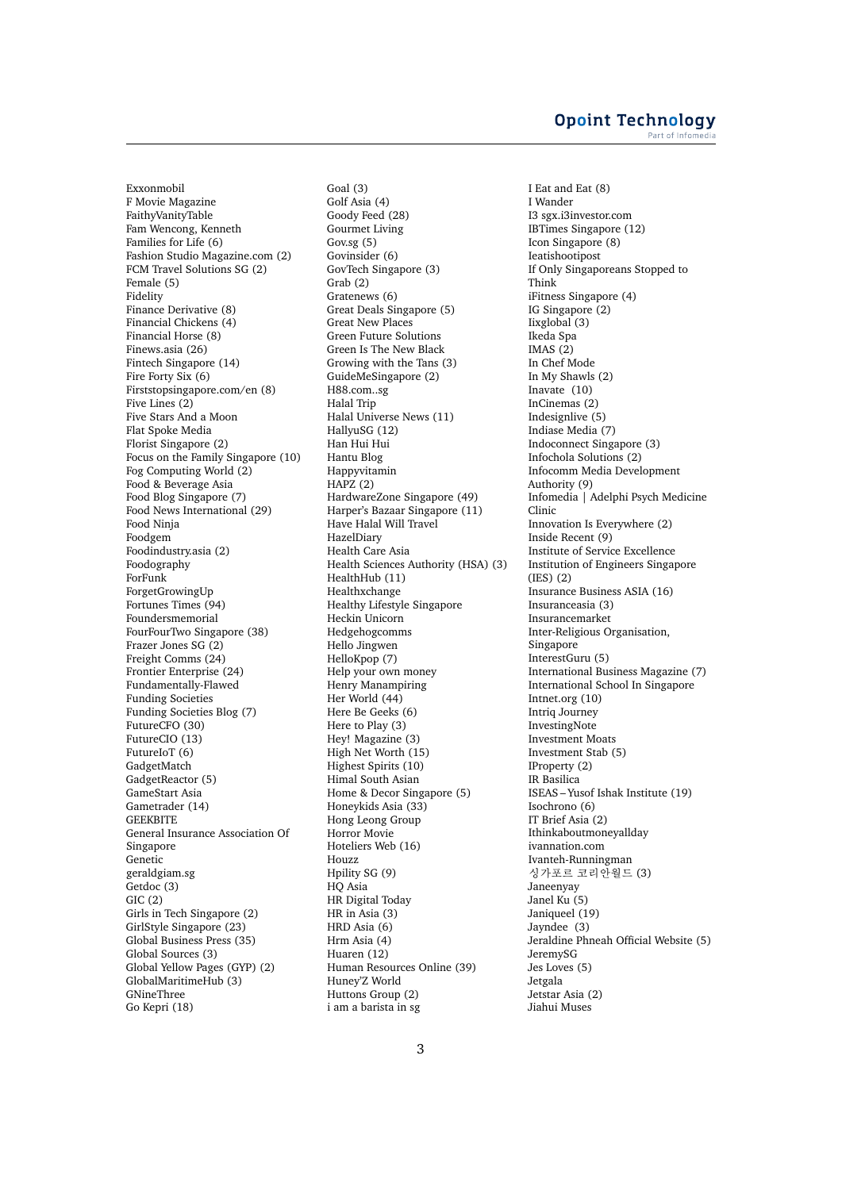Exxonmobil F Movie Magazine FaithyVanityTable Fam Wencong, Kenneth Families for Life (6) Fashion Studio Magazine.com (2) FCM Travel Solutions SG (2) Female (5) Fidelity Finance Derivative (8) Financial Chickens (4) Financial Horse (8) Finews.asia (26) Fintech Singapore (14) Fire Forty Six (6) Firststopsingapore.com/en (8) Five Lines (2) Five Stars And a Moon Flat Spoke Media Florist Singapore (2) Focus on the Family Singapore (10) Fog Computing World (2) Food & Beverage Asia Food Blog Singapore (7) Food News International (29) Food Ninja Foodgem Foodindustry.asia (2) Foodography ForFunk ForgetGrowingUp Fortunes Times (94) Foundersmemorial FourFourTwo Singapore (38) Frazer Jones SG (2) Freight Comms (24) Frontier Enterprise (24) Fundamentally-Flawed Funding Societies Funding Societies Blog (7) FutureCFO (30) FutureCIO (13) FutureIoT (6) GadgetMatch GadgetReactor (5) GameStart Asia Gametrader (14) **GEEKBITE** General Insurance Association Of Singapore Genetic geraldgiam.sg Getdoc (3) GIC (2) Girls in Tech Singapore (2) GirlStyle Singapore (23) Global Business Press (35) Global Sources (3) Global Yellow Pages (GYP) (2) GlobalMaritimeHub (3) GNineThree Go Kepri (18)

Goal (3) Golf Asia (4) Goody Feed (28) Gourmet Living Gov.sg (5) Govinsider (6) GovTech Singapore (3) Grab (2) Gratenews (6) Great Deals Singapore (5) Great New Places Green Future Solutions Green Is The New Black Growing with the Tans (3) GuideMeSingapore (2) H88.com..sg Halal Trip Halal Universe News (11) HallyuSG (12) Han Hui Hui Hantu Blog Happyvitamin  $HAPZ(2)$ HardwareZone Singapore (49) Harper's Bazaar Singapore (11) Have Halal Will Travel HazelDiary Health Care Asia Health Sciences Authority (HSA) (3) HealthHub (11) Healthxchange Healthy Lifestyle Singapore Heckin Unicorn Hedgehogcomms Hello Jingwen HelloKpop (7) Help your own money Henry Manampiring Her World (44) Here Be Geeks (6) Here to Play (3) Hey! Magazine (3) High Net Worth (15) Highest Spirits (10) Himal South Asian Home & Decor Singapore (5) Honeykids Asia (33) Hong Leong Group Horror Movie Hoteliers Web (16) Houzz Hpility SG (9) HQ Asia HR Digital Today HR in Asia (3) HRD Asia (6) Hrm Asia (4) Huaren (12) Human Resources Online (39) Huney'Z World Huttons Group (2) i am a barista in sg

I Eat and Eat (8) I Wander I3 sgx.i3investor.com IBTimes Singapore (12) Icon Singapore (8) Ieatishootipost If Only Singaporeans Stopped to Think iFitness Singapore (4) IG Singapore (2) Iixglobal (3) Ikeda Spa IMAS $(2)$ In Chef Mode In My Shawls (2) Inavate (10) InCinemas (2) Indesignlive (5) Indiase Media (7) Indoconnect Singapore (3) Infochola Solutions (2) Infocomm Media Development Authority (9) Infomedia | Adelphi Psych Medicine Clinic Innovation Is Everywhere (2) Inside Recent (9) Institute of Service Excellence Institution of Engineers Singapore (IES) (2) Insurance Business ASIA (16) Insuranceasia (3) Insurancemarket Inter-Religious Organisation, Singapore InterestGuru (5) International Business Magazine (7) International School In Singapore Intnet.org (10) Intriq Journey InvestingNote Investment Moats Investment Stab (5) IProperty (2) IR Basilica ISEAS – Yusof Ishak Institute (19) Isochrono (6) IT Brief Asia (2) Ithinkaboutmoneyallday ivannation.com Ivanteh-Runningman 싱가포르 코리안월드 (3) Janeenyay Janel Ku (5) Janiqueel (19) Jayndee (3) Jeraldine Phneah Official Website (5) JeremySG Jes Loves (5) Jetgala Jetstar Asia (2) Jiahui Muses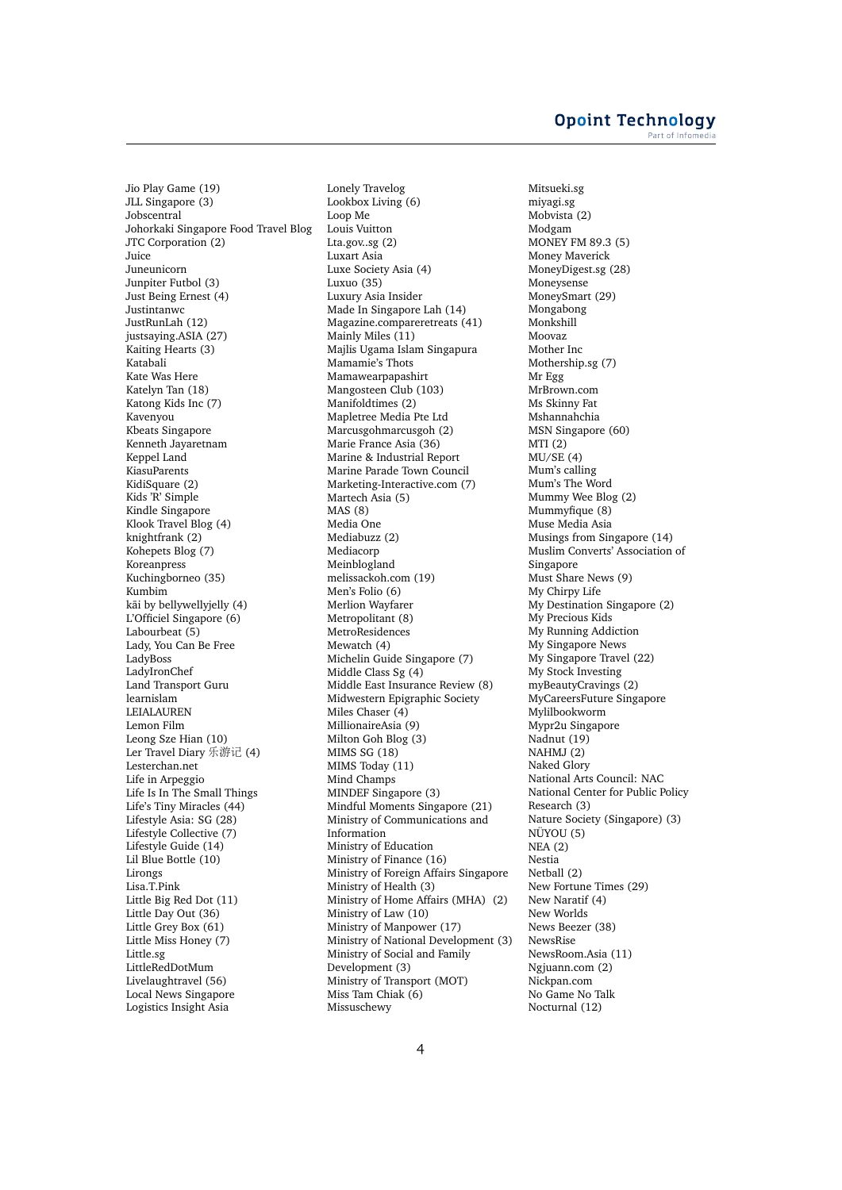Jio Play Game (19) JLL Singapore (3) Jobscentral Johorkaki Singapore Food Travel Blog JTC Corporation (2) Juice Juneunicorn Junpiter Futbol (3) Just Being Ernest (4) Justintanwc JustRunLah (12) justsaying.ASIA (27) Kaiting Hearts (3) Katabali Kate Was Here Katelyn Tan (18) Katong Kids Inc (7) Kavenyou Kbeats Singapore Kenneth Jayaretnam Keppel Land KiasuParents KidiSquare (2) Kids 'R' Simple Kindle Singapore Klook Travel Blog (4) knightfrank (2) Kohepets Blog (7) Koreanpress Kuchingborneo (35) Kumbim kāi by bellywellyjelly (4) L'Officiel Singapore (6) Labourbeat (5) Lady, You Can Be Free LadyBoss LadyIronChef Land Transport Guru learnislam LEIALAUREN Lemon Film Leong Sze Hian (10) Ler Travel Diary 乐游记 (4) Lesterchan.net Life in Arpeggio Life Is In The Small Things Life's Tiny Miracles (44) Lifestyle Asia: SG (28) Lifestyle Collective (7) Lifestyle Guide (14) Lil Blue Bottle (10) Lirongs Lisa.T.Pink Little Big Red Dot (11) Little Day Out (36) Little Grey Box (61) Little Miss Honey (7) Little.sg LittleRedDotMum Livelaughtravel (56) Local News Singapore Logistics Insight Asia

Lonely Travelog Lookbox Living (6) Loop Me Louis Vuitton Lta.gov..sg (2) Luxart Asia Luxe Society Asia (4) Luxuo (35) Luxury Asia Insider Made In Singapore Lah (14) Magazine.compareretreats (41) Mainly Miles (11) Majlis Ugama Islam Singapura Mamamie's Thots Mamawearpapashirt Mangosteen Club (103) Manifoldtimes (2) Mapletree Media Pte Ltd Marcusgohmarcusgoh (2) Marie France Asia (36) Marine & Industrial Report Marine Parade Town Council Marketing-Interactive.com (7) Martech Asia (5) MAS (8) Media One Mediabuzz (2) Mediacorp Meinblogland melissackoh.com (19) Men's Folio (6) Merlion Wayfarer Metropolitant (8) **MetroResidences** Mewatch (4) Michelin Guide Singapore (7) Middle Class Sg (4) Middle East Insurance Review (8) Midwestern Epigraphic Society Miles Chaser (4) MillionaireAsia (9) Milton Goh Blog (3) MIMS SG (18) MIMS Today (11) Mind Champs MINDEF Singapore (3) Mindful Moments Singapore (21) Ministry of Communications and Information Ministry of Education Ministry of Finance (16) Ministry of Foreign Affairs Singapore Ministry of Health (3) Ministry of Home Affairs (MHA) (2) Ministry of Law (10) Ministry of Manpower (17) Ministry of National Development (3) Ministry of Social and Family Development (3) Ministry of Transport (MOT) Miss Tam Chiak (6) Missuschewy

Mitsueki.sg miyagi.sg Mobvista (2) Modgam MONEY FM 89.3 (5) Money Maverick MoneyDigest.sg (28) Moneysense MoneySmart (29) Mongabong Monkshill Moovaz Mother Inc Mothership.sg (7) Mr Egg MrBrown.com Ms Skinny Fat Mshannahchia MSN Singapore (60) MTI (2)  $MU/SE(4)$ Mum's calling Mum's The Word Mummy Wee Blog (2) Mummyfique (8) Muse Media Asia Musings from Singapore (14) Muslim Converts' Association of Singapore Must Share News (9) My Chirpy Life My Destination Singapore (2) My Precious Kids My Running Addiction My Singapore News My Singapore Travel (22) My Stock Investing myBeautyCravings (2) MyCareersFuture Singapore Mylilbookworm Mypr2u Singapore Nadnut (19) NAHMJ (2) Naked Glory National Arts Council: NAC National Center for Public Policy Research (3) Nature Society (Singapore) (3) NÜYOU (5) NEA (2) Nestia Netball (2) New Fortune Times (29) New Naratif (4) New Worlds News Beezer (38) NewsRise NewsRoom.Asia (11) Ngjuann.com (2) Nickpan.com No Game No Talk Nocturnal (12)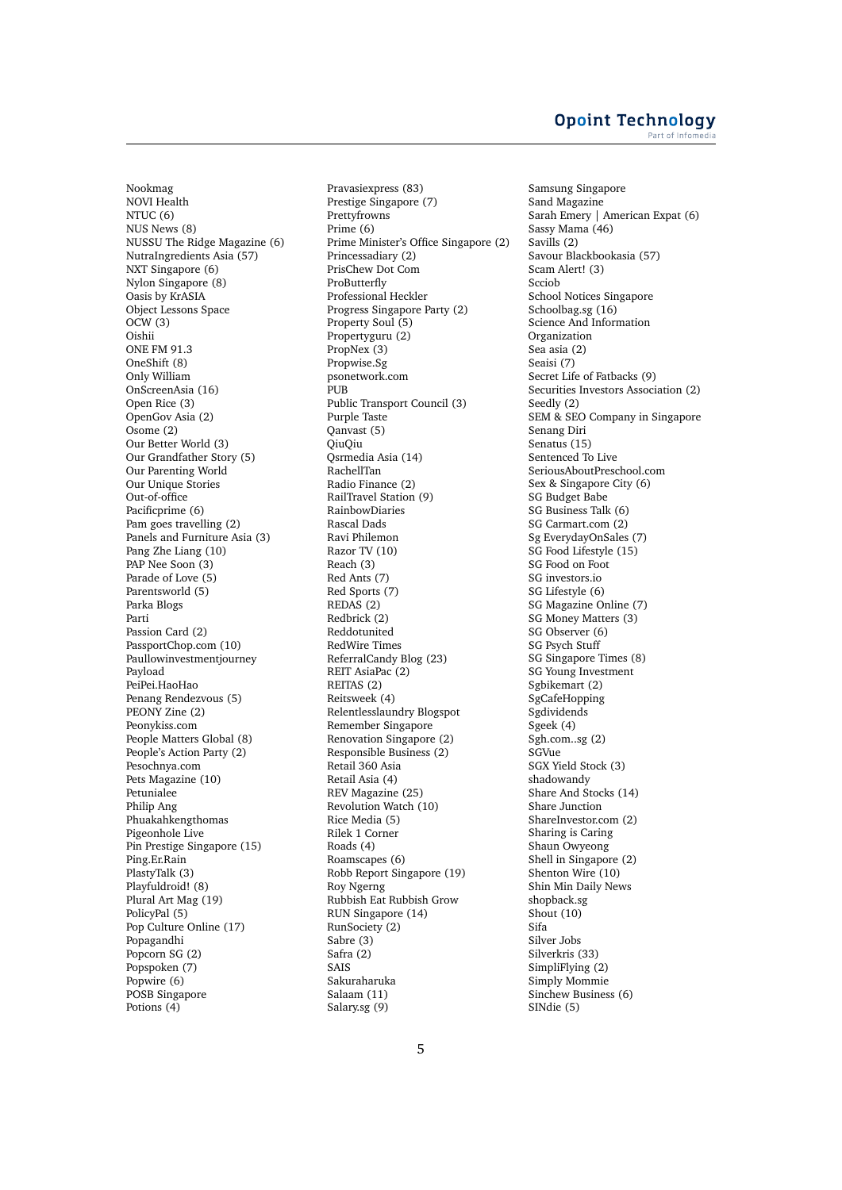Nookmag NOVI Health NTUC (6) NUS News (8) NUSSU The Ridge Magazine (6) NutraIngredients Asia (57) NXT Singapore (6) Nylon Singapore (8) Oasis by KrASIA Object Lessons Space  $OCW(3)$ Oishii ONE FM 91.3 OneShift (8) Only William OnScreenAsia (16) Open Rice (3) OpenGov Asia (2) Osome (2) Our Better World (3) Our Grandfather Story (5) Our Parenting World Our Unique Stories Out-of-office Pacificprime (6) Pam goes travelling (2) Panels and Furniture Asia (3) Pang Zhe Liang (10) PAP Nee Soon (3) Parade of Love (5) Parentsworld (5) Parka Blogs Parti Passion Card (2) PassportChop.com (10) Paullowinvestmentjourney Payload PeiPei.HaoHao Penang Rendezvous (5) PEONY Zine (2) Peonykiss.com People Matters Global (8) People's Action Party (2) Pesochnya.com Pets Magazine (10) Petunialee Philip Ang Phuakahkengthomas Pigeonhole Live Pin Prestige Singapore (15) Ping.Er.Rain PlastyTalk (3) Playfuldroid! (8) Plural Art Mag (19) PolicyPal (5) Pop Culture Online (17) Popagandhi Popcorn SG (2) Popspoken (7) Popwire (6) POSB Singapore Potions (4)

Pravasiexpress (83) Prestige Singapore (7) Prettyfrowns Prime (6) Prime Minister's Office Singapore (2) Princessadiary (2) PrisChew Dot Com ProButterfly Professional Heckler Progress Singapore Party (2) Property Soul (5) Propertyguru (2) PropNex (3) Propwise.Sg psonetwork.com PUB Public Transport Council (3) Purple Taste Qanvast (5) QiuQiu Qsrmedia Asia (14) RachellTan Radio Finance (2) RailTravel Station (9) RainbowDiaries Rascal Dads Ravi Philemon Razor TV (10) Reach (3) Red Ants (7) Red Sports (7) REDAS (2) Redbrick (2) Reddotunited RedWire Times ReferralCandy Blog (23) REIT AsiaPac (2) REITAS (2) Reitsweek (4) Relentlesslaundry Blogspot Remember Singapore Renovation Singapore (2) Responsible Business (2) Retail 360 Asia Retail Asia (4) REV Magazine (25) Revolution Watch (10) Rice Media (5) Rilek 1 Corner Roads (4) Roamscapes (6) Robb Report Singapore (19) Roy Ngerng Rubbish Eat Rubbish Grow RUN Singapore (14) RunSociety (2) Sabre (3) Safra (2) SAIS Sakuraharuka Salaam (11) Salary.sg (9)

Samsung Singapore Sand Magazine Sarah Emery | American Expat (6) Sassy Mama (46) Savills (2) Savour Blackbookasia (57) Scam Alert! (3) Scciob School Notices Singapore Schoolbag.sg (16) Science And Information Organization Sea asia (2) Seaisi (7) Secret Life of Fatbacks (9) Securities Investors Association (2) Seedly (2) SEM & SEO Company in Singapore Senang Diri Senatus (15) Sentenced To Live SeriousAboutPreschool.com Sex & Singapore City (6) SG Budget Babe SG Business Talk (6) SG Carmart.com (2) Sg EverydayOnSales (7) SG Food Lifestyle (15) SG Food on Foot SG investors.io SG Lifestyle (6) SG Magazine Online (7) SG Money Matters (3) SG Observer (6) SG Psych Stuff SG Singapore Times (8) SG Young Investment Sgbikemart (2) SgCafeHopping Sgdividends Sgeek (4) Sgh.com..sg (2) SGVue SGX Yield Stock (3) shadowandy Share And Stocks (14) Share Junction ShareInvestor.com (2) Sharing is Caring Shaun Owyeong Shell in Singapore (2) Shenton Wire (10) Shin Min Daily News shopback.sg Shout (10) Sifa Silver Jobs Silverkris (33) SimpliFlying (2) Simply Mommie Sinchew Business (6) SINdie (5)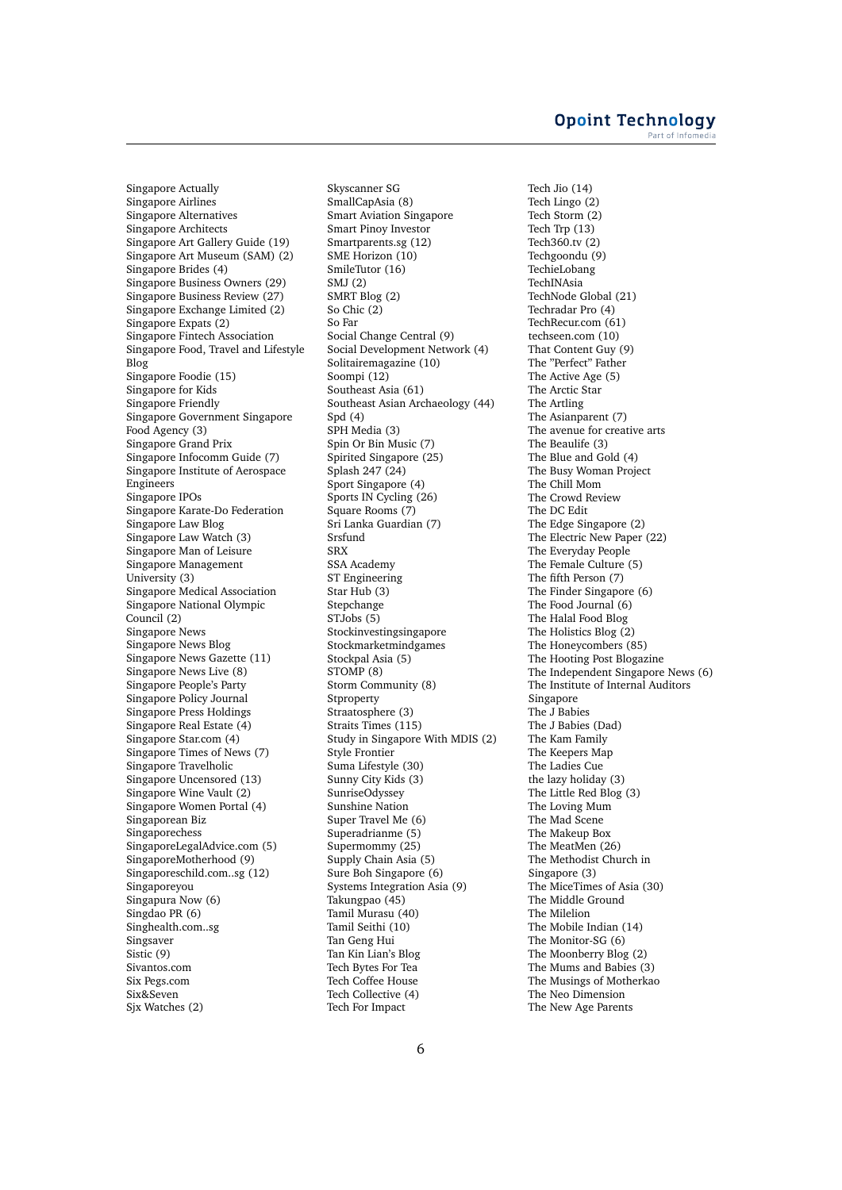Singapore Actually Singapore Airlines Singapore Alternatives Singapore Architects Singapore Art Gallery Guide (19) Singapore Art Museum (SAM) (2) Singapore Brides (4) Singapore Business Owners (29) Singapore Business Review (27) Singapore Exchange Limited (2) Singapore Expats (2) Singapore Fintech Association Singapore Food, Travel and Lifestyle Blog Singapore Foodie (15) Singapore for Kids Singapore Friendly Singapore Government Singapore Food Agency (3) Singapore Grand Prix Singapore Infocomm Guide (7) Singapore Institute of Aerospace Engineers Singapore IPOs Singapore Karate-Do Federation Singapore Law Blog Singapore Law Watch (3) Singapore Man of Leisure Singapore Management University (3) Singapore Medical Association Singapore National Olympic Council (2) Singapore News Singapore News Blog Singapore News Gazette (11) Singapore News Live (8) Singapore People's Party Singapore Policy Journal Singapore Press Holdings Singapore Real Estate (4) Singapore Star.com (4) Singapore Times of News (7) Singapore Travelholic Singapore Uncensored (13) Singapore Wine Vault (2) Singapore Women Portal (4) Singaporean Biz Singaporechess SingaporeLegalAdvice.com (5) SingaporeMotherhood (9) Singaporeschild.com..sg (12) Singaporeyou Singapura Now (6) Singdao PR (6) Singhealth.com..sg Singsaver Sistic (9) Sivantos.com Six Pegs.com Six&Seven Sjx Watches (2)

Skyscanner SG SmallCapAsia (8) Smart Aviation Singapore Smart Pinoy Investor Smartparents.sg (12) SME Horizon (10) SmileTutor (16) SMJ (2) SMRT Blog (2) So Chic (2) So Far Social Change Central (9) Social Development Network (4) Solitairemagazine (10) Soompi (12) Southeast Asia (61) Southeast Asian Archaeology (44) Spd (4) SPH Media (3) Spin Or Bin Music (7) Spirited Singapore (25) Splash 247 (24) Sport Singapore (4) Sports IN Cycling (26) Square Rooms (7) Sri Lanka Guardian (7) Srsfund SRX SSA Academy ST Engineering Star Hub (3) Stepchange STJobs (5) Stockinvestingsingapore Stockmarketmindgames Stockpal Asia (5) STOMP (8) Storm Community (8) Stproperty Straatosphere (3) Straits Times (115) Study in Singapore With MDIS (2) Style Frontier Suma Lifestyle (30) Sunny City Kids (3) SunriseOdyssey Sunshine Nation Super Travel Me (6) Superadrianme (5) Supermommy (25) Supply Chain Asia (5) Sure Boh Singapore (6) Systems Integration Asia (9) Takungpao (45) Tamil Murasu (40) Tamil Seithi (10) Tan Geng Hui Tan Kin Lian's Blog Tech Bytes For Tea Tech Coffee House Tech Collective (4) Tech For Impact

Tech Jio (14) Tech Lingo (2) Tech Storm (2) Tech Trp (13) Tech360.tv (2) Techgoondu (9) TechieLobang TechINAsia TechNode Global (21) Techradar Pro (4) TechRecur.com (61) techseen.com (10) That Content Guy (9) The "Perfect" Father The Active Age (5) The Arctic Star The Artling The Asianparent (7) The avenue for creative arts The Beaulife (3) The Blue and Gold (4) The Busy Woman Project The Chill Mom The Crowd Review The DC Edit The Edge Singapore (2) The Electric New Paper (22) The Everyday People The Female Culture (5) The fifth Person (7) The Finder Singapore (6) The Food Journal (6) The Halal Food Blog The Holistics Blog (2) The Honeycombers (85) The Hooting Post Blogazine The Independent Singapore News (6) The Institute of Internal Auditors Singapore The J Babies The J Babies (Dad) The Kam Family The Keepers Map The Ladies Cue the lazy holiday (3) The Little Red Blog (3) The Loving Mum The Mad Scene The Makeup Box The MeatMen (26) The Methodist Church in Singapore (3) The MiceTimes of Asia (30) The Middle Ground The Milelion The Mobile Indian (14) The Monitor-SG (6) The Moonberry Blog (2) The Mums and Babies (3) The Musings of Motherkao The Neo Dimension The New Age Parents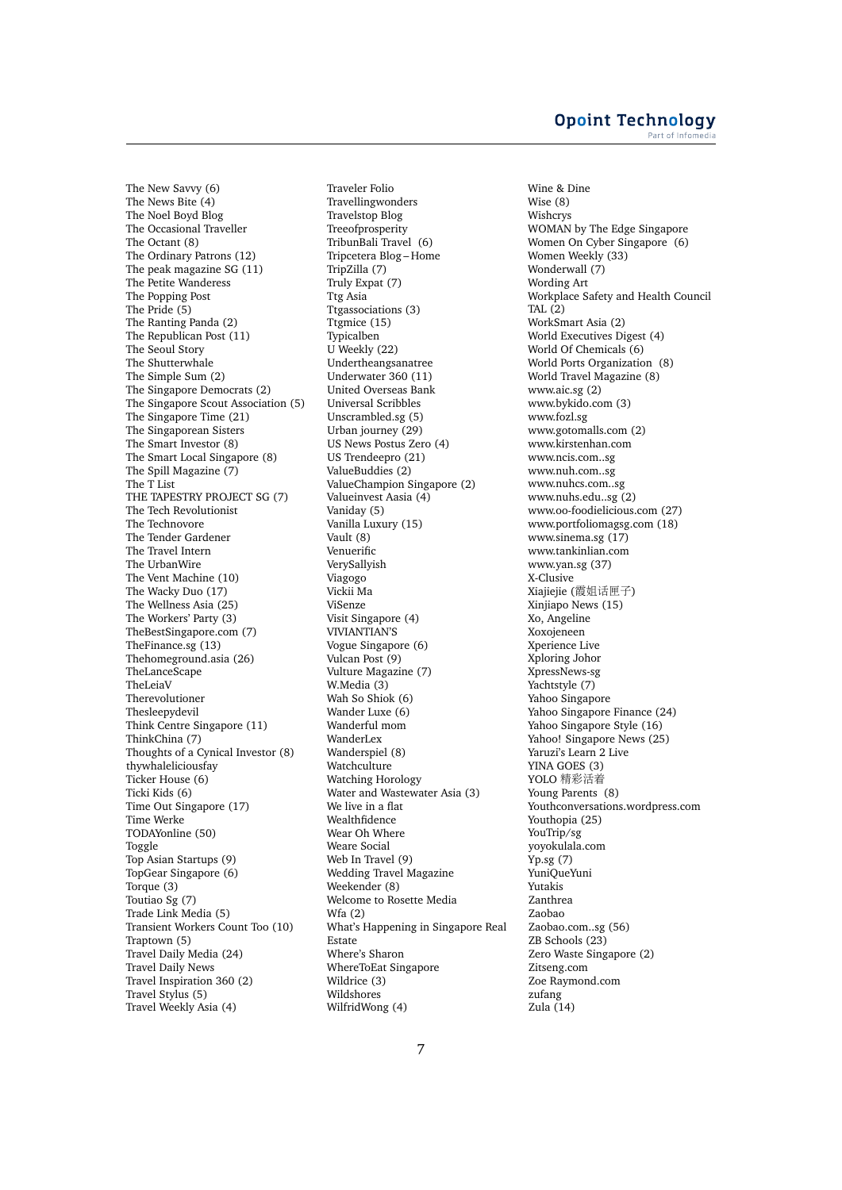### **Opoint Technology** Part of Infomer

The New Savvy (6) The News Bite (4) The Noel Boyd Blog The Occasional Traveller The Octant (8) The Ordinary Patrons (12) The peak magazine SG (11) The Petite Wanderess The Popping Post The Pride (5) The Ranting Panda (2) The Republican Post (11) The Seoul Story The Shutterwhale The Simple Sum (2) The Singapore Democrats (2) The Singapore Scout Association (5) The Singapore Time (21) The Singaporean Sisters The Smart Investor (8) The Smart Local Singapore (8) The Spill Magazine (7) The T List THE TAPESTRY PROJECT SG (7) The Tech Revolutionist The Technovore The Tender Gardener The Travel Intern The UrbanWire The Vent Machine (10) The Wacky Duo (17) The Wellness Asia (25) The Workers' Party (3) TheBestSingapore.com (7) TheFinance.sg (13) Thehomeground.asia (26) TheLanceScape TheLeiaV Therevolutioner Thesleepydevil Think Centre Singapore (11) ThinkChina (7) Thoughts of a Cynical Investor (8) thywhaleliciousfay Ticker House (6) Ticki Kids (6) Time Out Singapore (17) Time Werke TODAYonline (50) Toggle Top Asian Startups (9) TopGear Singapore (6) Torque (3) Toutiao Sg (7) Trade Link Media (5) Transient Workers Count Too (10) Traptown (5) Travel Daily Media (24) Travel Daily News Travel Inspiration 360 (2) Travel Stylus (5) Travel Weekly Asia (4)

Traveler Folio Travellingwonders Travelstop Blog Treeofprosperity TribunBali Travel (6) Tripcetera Blog – Home TripZilla (7) Truly Expat (7) Ttg Asia Ttgassociations (3) Ttgmice (15) Typicalben U Weekly (22) Undertheangsanatree Underwater 360 (11) United Overseas Bank Universal Scribbles Unscrambled.sg (5) Urban journey (29) US News Postus Zero (4) US Trendeepro (21) ValueBuddies (2) ValueChampion Singapore (2) Valueinvest Aasia (4) Vaniday (5) Vanilla Luxury (15) Vault (8) Venuerific VerySallyish Viagogo Vickii Ma ViSenze Visit Singapore (4) VIVIANTIAN'S Vogue Singapore (6) Vulcan Post (9) Vulture Magazine (7) W.Media (3) Wah So Shiok (6) Wander Luxe (6) Wanderful mom WanderLex Wanderspiel (8) Watchculture Watching Horology Water and Wastewater Asia (3) We live in a flat Wealthfidence Wear Oh Where Weare Social Web In Travel (9) Wedding Travel Magazine Weekender (8) Welcome to Rosette Media Wfa (2) What's Happening in Singapore Real Estate Where's Sharon WhereToEat Singapore Wildrice (3) Wildshores WilfridWong (4)

Wine & Dine Wise (8) Wishcrys WOMAN by The Edge Singapore Women On Cyber Singapore (6) Women Weekly (33) Wonderwall (7) Wording Art Workplace Safety and Health Council TAL (2) WorkSmart Asia (2) World Executives Digest (4) World Of Chemicals (6) World Ports Organization (8) World Travel Magazine (8) www.aic.sg (2) www.bykido.com (3) www.fozl.sg www.gotomalls.com (2) www.kirstenhan.com www.ncis.com..sg www.nuh.com..sg www.nuhcs.com..sg www.nuhs.edu..sg (2) www.oo-foodielicious.com (27) www.portfoliomagsg.com (18) www.sinema.sg (17) www.tankinlian.com www.yan.sg (37) X-Clusive Xiajiejie (霞姐话匣子) Xinjiapo News (15) Xo, Angeline Xoxojeneen Xperience Live Xploring Johor XpressNews-sg Yachtstyle (7) Yahoo Singapore Yahoo Singapore Finance (24) Yahoo Singapore Style (16) Yahoo! Singapore News (25) Yaruzi's Learn 2 Live YINA GOES (3) YOLO <sup>精</sup>彩活<sup>着</sup> Young Parents (8) Youthconversations.wordpress.com Youthopia (25) YouTrip/sg yoyokulala.com Yp.sg (7) YuniQueYuni Yutakis Zanthrea Zaobao Zaobao.com..sg (56) ZB Schools (23) Zero Waste Singapore (2) Zitseng.com Zoe Raymond.com zufang Zula (14)